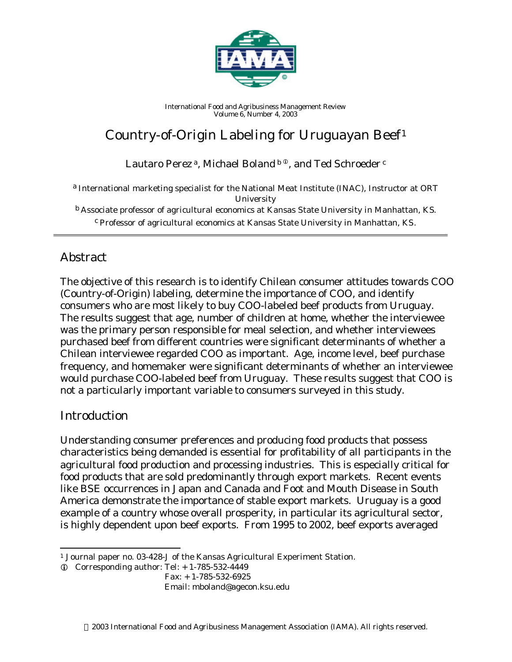

*International Food and Agribusiness Management Review Volume 6, Number 4, 2003*

# Country-of-Origin Labeling for Uruguayan Beef<sup>1</sup>

Lautaro Perez<sup>a</sup>, Michael Boland<sup>b ®</sup>, and Ted Schroeder<sup>c</sup>

a *International marketing specialist for the National Meat Institute (INAC), Instructor at ORT University* b *Associate professor of agricultural economics at Kansas State University in Manhattan, KS.* c *Professor of agricultural economics at Kansas State University in Manhattan, KS.*

# Abstract

The objective of this research is to identify Chilean consumer attitudes towards COO (Country-of-Origin) labeling, determine the importance of COO, and identify consumers who are most likely to buy COO-labeled beef products from Uruguay. The results suggest that age, number of children at home, whether the interviewee was the primary person responsible for meal selection, and whether interviewees purchased beef from different countries were significant determinants of whether a Chilean interviewee regarded COO as important. Age, income level, beef purchase frequency, and homemaker were significant determinants of whether an interviewee would purchase COO-labeled beef from Uruguay. These results suggest that COO is not a particularly important variable to consumers surveyed in this study.

## **Introduction**

l

Understanding consumer preferences and producing food products that possess characteristics being demanded is essential for profitability of all participants in the agricultural food production and processing industries. This is especially critical for food products that are sold predominantly through export markets. Recent events like BSE occurrences in Japan and Canada and Foot and Mouth Disease in South America demonstrate the importance of stable export markets. Uruguay is a good example of a country whose overall prosperity, in particular its agricultural sector, is highly dependent upon beef exports. From 1995 to 2002, beef exports averaged

Fax: + 1-785-532-6925

Email: mboland@agecon.ksu.edu

<sup>1</sup> Journal paper no. 03-428-J of the Kansas Agricultural Experiment Station.

 $Q$  Corresponding author: Tel:  $+ 1-785-532-4449$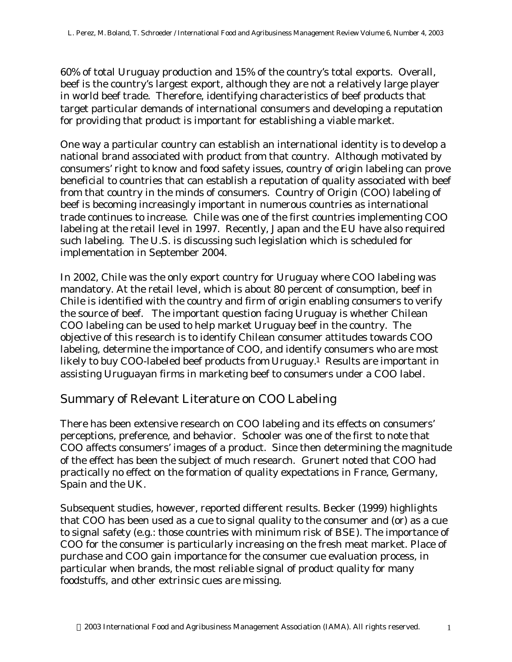60% of total Uruguay production and 15% of the country's total exports. Overall, beef is the country's largest export, although they are not a relatively large player in world beef trade. Therefore, identifying characteristics of beef products that target particular demands of international consumers and developing a reputation for providing that product is important for establishing a viable market.

One way a particular country can establish an international identity is to develop a national brand associated with product from that country. Although motivated by consumers' right to know and food safety issues, country of origin labeling can prove beneficial to countries that can establish a reputation of quality associated with beef from that country in the minds of consumers. Country of Origin (COO) labeling of beef is becoming increasingly important in numerous countries as international trade continues to increase. Chile was one of the first countries implementing COO labeling at the retail level in 1997. Recently, Japan and the EU have also required such labeling. The U.S. is discussing such legislation which is scheduled for implementation in September 2004.

In 2002, Chile was the only export country for Uruguay where COO labeling was mandatory. At the retail level, which is about 80 percent of consumption, beef in Chile is identified with the country and firm of origin enabling consumers to verify the source of beef. The important question facing Uruguay is whether Chilean COO labeling can be used to help market Uruguay beef in the country. The objective of this research is to identify Chilean consumer attitudes towards COO labeling, determine the importance of COO, and identify consumers who are most likely to buy COO-labeled beef products from Uruguay.<sup>1</sup> Results are important in assisting Uruguayan firms in marketing beef to consumers under a COO label.

# Summary of Relevant Literature on COO Labeling

There has been extensive research on COO labeling and its effects on consumers' perceptions, preference, and behavior. Schooler was one of the first to note that COO affects consumers' images of a product. Since then determining the magnitude of the effect has been the subject of much research. Grunert noted that COO had practically no effect on the formation of quality expectations in France, Germany, Spain and the UK.

Subsequent studies, however, reported different results. Becker (1999) highlights that COO has been used as a cue to signal quality to the consumer and (or) as a cue to signal safety (e.g.: those countries with minimum risk of BSE). The importance of COO for the consumer is particularly increasing on the fresh meat market. Place of purchase and COO gain importance for the consumer cue evaluation process, in particular when brands, the most reliable signal of product quality for many foodstuffs, and other extrinsic cues are missing.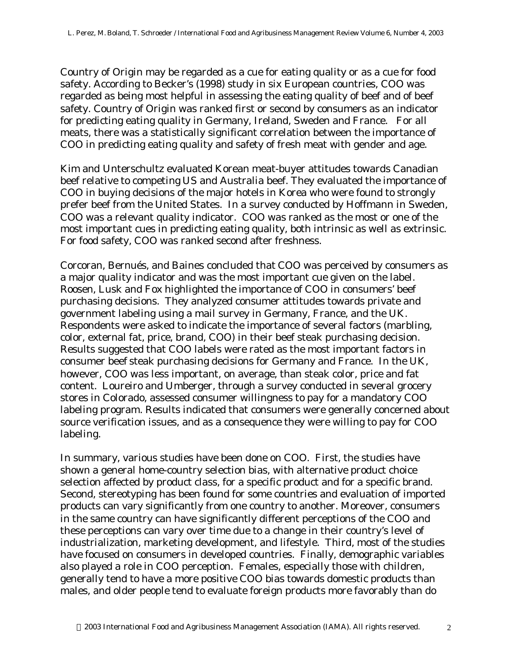Country of Origin may be regarded as a cue for eating quality or as a cue for food safety. According to Becker's (1998) study in six European countries, COO was regarded as being most helpful in assessing the eating quality of beef and of beef safety. Country of Origin was ranked first or second by consumers as an indicator for predicting eating quality in Germany, Ireland, Sweden and France. For all meats, there was a statistically significant correlation between the importance of COO in predicting eating quality and safety of fresh meat with gender and age.

Kim and Unterschultz evaluated Korean meat-buyer attitudes towards Canadian beef relative to competing US and Australia beef. They evaluated the importance of COO in buying decisions of the major hotels in Korea who were found to strongly prefer beef from the United States. In a survey conducted by Hoffmann in Sweden, COO was a relevant quality indicator. COO was ranked as the most or one of the most important cues in predicting eating quality, both intrinsic as well as extrinsic. For food safety, COO was ranked second after freshness.

Corcoran, Bernués, and Baines concluded that COO was perceived by consumers as a major quality indicator and was the most important cue given on the label. Roosen, Lusk and Fox highlighted the importance of COO in consumers' beef purchasing decisions. They analyzed consumer attitudes towards private and government labeling using a mail survey in Germany, France, and the UK. Respondents were asked to indicate the importance of several factors (marbling, color, external fat, price, brand, COO) in their beef steak purchasing decision. Results suggested that COO labels were rated as the most important factors in consumer beef steak purchasing decisions for Germany and France. In the UK, however, COO was less important, on average, than steak color, price and fat content. Loureiro and Umberger, through a survey conducted in several grocery stores in Colorado, assessed consumer willingness to pay for a mandatory COO labeling program. Results indicated that consumers were generally concerned about source verification issues, and as a consequence they were willing to pay for COO labeling.

In summary, various studies have been done on COO. First, the studies have shown a general home-country selection bias, with alternative product choice selection affected by product class, for a specific product and for a specific brand. Second, stereotyping has been found for some countries and evaluation of imported products can vary significantly from one country to another. Moreover, consumers in the same country can have significantly different perceptions of the COO and these perceptions can vary over time due to a change in their country's level of industrialization, marketing development, and lifestyle. Third, most of the studies have focused on consumers in developed countries. Finally, demographic variables also played a role in COO perception. Females, especially those with children, generally tend to have a more positive COO bias towards domestic products than males, and older people tend to evaluate foreign products more favorably than do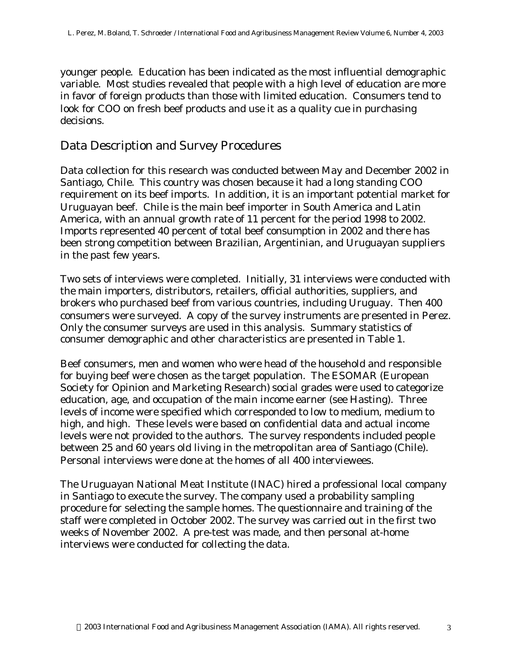younger people. Education has been indicated as the most influential demographic variable. Most studies revealed that people with a high level of education are more in favor of foreign products than those with limited education. Consumers tend to look for COO on fresh beef products and use it as a quality cue in purchasing decisions.

### Data Description and Survey Procedures

Data collection for this research was conducted between May and December 2002 in Santiago, Chile. This country was chosen because it had a long standing COO requirement on its beef imports. In addition, it is an important potential market for Uruguayan beef. Chile is the main beef importer in South America and Latin America, with an annual growth rate of 11 percent for the period 1998 to 2002. Imports represented 40 percent of total beef consumption in 2002 and there has been strong competition between Brazilian, Argentinian, and Uruguayan suppliers in the past few years.

Two sets of interviews were completed. Initially, 31 interviews were conducted with the main importers, distributors, retailers, official authorities, suppliers, and brokers who purchased beef from various countries, including Uruguay. Then 400 consumers were surveyed. A copy of the survey instruments are presented in Perez. Only the consumer surveys are used in this analysis. Summary statistics of consumer demographic and other characteristics are presented in Table 1.

Beef consumers, men and women who were head of the household and responsible for buying beef were chosen as the target population. The ESOMAR (European Society for Opinion and Marketing Research) social grades were used to categorize education, age, and occupation of the main income earner (see Hasting). Three levels of income were specified which corresponded to low to medium, medium to high, and high. These levels were based on confidential data and actual income levels were not provided to the authors. The survey respondents included people between 25 and 60 years old living in the metropolitan area of Santiago (Chile). Personal interviews were done at the homes of all 400 interviewees.

The Uruguayan National Meat Institute (INAC) hired a professional local company in Santiago to execute the survey. The company used a probability sampling procedure for selecting the sample homes. The questionnaire and training of the staff were completed in October 2002. The survey was carried out in the first two weeks of November 2002. A pre-test was made, and then personal at-home interviews were conducted for collecting the data.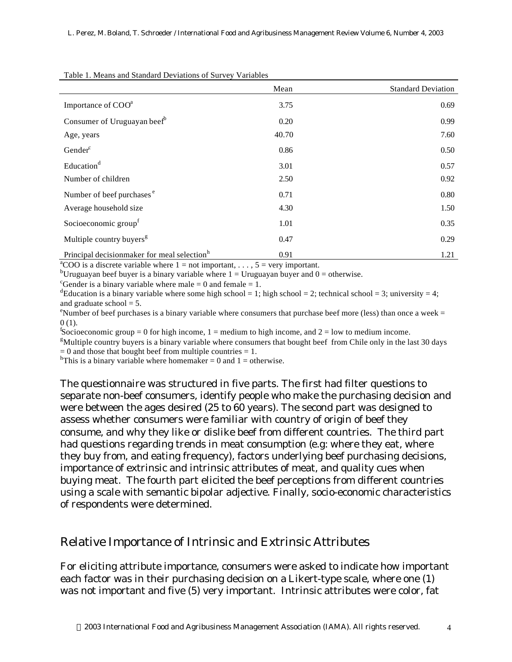|                                                         | Mean  | <b>Standard Deviation</b> |
|---------------------------------------------------------|-------|---------------------------|
| Importance of COO <sup>a</sup>                          | 3.75  | 0.69                      |
| Consumer of Uruguayan beef <sup>b</sup>                 | 0.20  | 0.99                      |
| Age, years                                              | 40.70 | 7.60                      |
| Gender <sup>c</sup>                                     | 0.86  | 0.50                      |
| Education <sup>d</sup>                                  | 3.01  | 0.57                      |
| Number of children                                      | 2.50  | 0.92                      |
| Number of beef purchases <sup>e</sup>                   | 0.71  | 0.80                      |
| Average household size                                  | 4.30  | 1.50                      |
| Socioeconomic group <sup>f</sup>                        | 1.01  | 0.35                      |
| Multiple country buyers <sup>g</sup>                    | 0.47  | 0.29                      |
| Principal decisionmaker for meal selection <sup>h</sup> | 0.91  | 1.21                      |

Table 1. Means and Standard Deviations of Survey Variables

<sup>a</sup>COO is a discrete variable where  $1 = not$  important, ...,  $5 = very$  important. <sup>b</sup>Uruguayan beef buyer is a binary variable where  $1 =$  Uruguayan buyer and  $0 =$  otherwise.

<sup>c</sup>Gender is a binary variable where male  $= 0$  and female  $= 1$ .

<sup>d</sup>Education is a binary variable where some high school = 1; high school = 2; technical school = 3; university = 4; and graduate school  $= 5$ .

<sup>e</sup>Number of beef purchases is a binary variable where consumers that purchase beef more (less) than once a week = 0 (1).

 $f_{\text{Socioeconomic group}} = 0$  for high income, 1 = medium to high income, and 2 = low to medium income.

 $g$ Multiple country buyers is a binary variable where consumers that bought beef from Chile only in the last 30 days  $= 0$  and those that bought beef from multiple countries  $= 1$ .

<sup>h</sup>This is a binary variable where homemaker = 0 and 1 = otherwise.

The questionnaire was structured in five parts. The first had filter questions to separate non-beef consumers, identify people who make the purchasing decision and were between the ages desired (25 to 60 years). The second part was designed to assess whether consumers were familiar with country of origin of beef they consume, and why they like or dislike beef from different countries. The third part had questions regarding trends in meat consumption (e.g: where they eat, where they buy from, and eating frequency), factors underlying beef purchasing decisions, importance of extrinsic and intrinsic attributes of meat, and quality cues when buying meat. The fourth part elicited the beef perceptions from different countries using a scale with semantic bipolar adjective. Finally, socio-economic characteristics of respondents were determined.

#### Relative Importance of Intrinsic and Extrinsic Attributes

For eliciting attribute importance, consumers were asked to indicate how important each factor was in their purchasing decision on a Likert-type scale, where one (1) was not important and five (5) very important. Intrinsic attributes were color, fat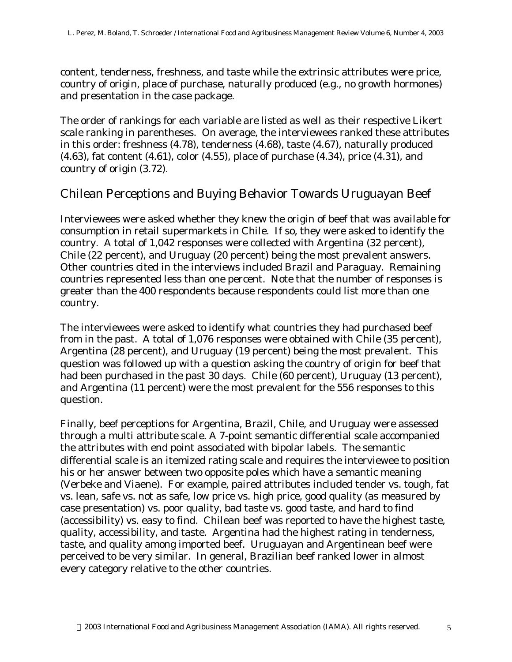content, tenderness, freshness, and taste while the extrinsic attributes were price, country of origin, place of purchase, naturally produced (e.g., no growth hormones) and presentation in the case package.

The order of rankings for each variable are listed as well as their respective Likert scale ranking in parentheses. On average, the interviewees ranked these attributes in this order: freshness (4.78), tenderness (4.68), taste (4.67), naturally produced (4.63), fat content (4.61), color (4.55), place of purchase (4.34), price (4.31), and country of origin (3.72).

#### Chilean Perceptions and Buying Behavior Towards Uruguayan Beef

Interviewees were asked whether they knew the origin of beef that was available for consumption in retail supermarkets in Chile. If so, they were asked to identify the country. A total of 1,042 responses were collected with Argentina (32 percent), Chile (22 percent), and Uruguay (20 percent) being the most prevalent answers. Other countries cited in the interviews included Brazil and Paraguay. Remaining countries represented less than one percent. Note that the number of responses is greater than the 400 respondents because respondents could list more than one country.

The interviewees were asked to identify what countries they had purchased beef from in the past. A total of 1,076 responses were obtained with Chile (35 percent), Argentina (28 percent), and Uruguay (19 percent) being the most prevalent. This question was followed up with a question asking the country of origin for beef that had been purchased in the past 30 days. Chile (60 percent), Uruguay (13 percent), and Argentina (11 percent) were the most prevalent for the 556 responses to this question.

Finally, beef perceptions for Argentina, Brazil, Chile, and Uruguay were assessed through a multi attribute scale. A 7-point semantic differential scale accompanied the attributes with end point associated with bipolar labels. The semantic differential scale is an itemized rating scale and requires the interviewee to position his or her answer between two opposite poles which have a semantic meaning (Verbeke and Viaene). For example, paired attributes included tender vs. tough, fat vs. lean, safe vs. not as safe, low price vs. high price, good quality (as measured by case presentation) vs. poor quality, bad taste vs. good taste, and hard to find (accessibility) vs. easy to find. Chilean beef was reported to have the highest taste, quality, accessibility, and taste. Argentina had the highest rating in tenderness, taste, and quality among imported beef. Uruguayan and Argentinean beef were perceived to be very similar. In general, Brazilian beef ranked lower in almost every category relative to the other countries.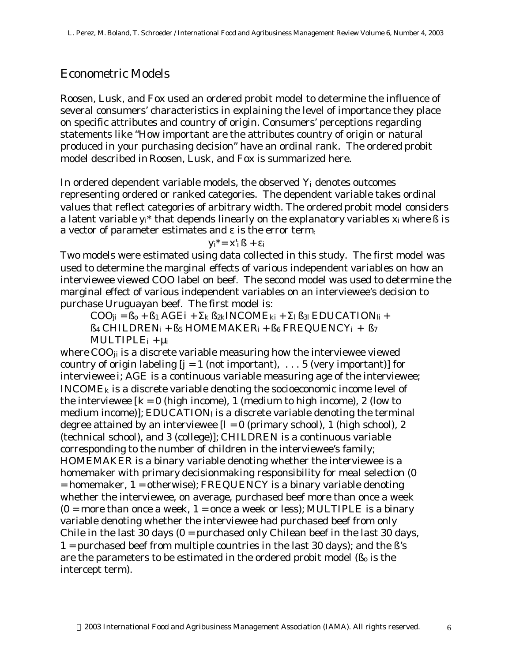### Econometric Models

Roosen, Lusk, and Fox used an ordered probit model to determine the influence of several consumers' characteristics in explaining the level of importance they place on specific attributes and country of origin. Consumers' perceptions regarding statements like "How important are the attributes country of origin or natural produced in your purchasing decision" have an ordinal rank. The ordered probit model described in Roosen, Lusk, and Fox is summarized here.

In ordered dependent variable models, the observed *Y*i denotes outcomes representing ordered or ranked categories. The dependent variable takes ordinal values that reflect categories of arbitrary width. The ordered probit model considers a latent variable  $y_i^*$  that depends linearly on the explanatory variables  $x_i$  where  $\beta$  is a vector of parameter estimates and ε is the error term:

yi\*= x'<sup>i</sup> *ß +* ε*<sup>i</sup>*

Two models were estimated using data collected in this study. The first model was used to determine the marginal effects of various independent variables on how an interviewee viewed COO label on beef. The second model was used to determine the marginal effect of various independent variables on an interviewee's decision to purchase Uruguayan beef. The first model is:

 $COO_{ii} = B_0 + B_1 AGEi + S_k B_{2k}INCOME_{ki} + S_l B_{3l} EDUCATION_{li} +$  $B_4$  *CHILDREN<sub>i</sub>* +  $B_5$  *HOMEMAKER<sub>i</sub>* +  $B_6$  *FREQUENCY<sub>i</sub>* +  $B_7$  $MULTIPLE<sub>i</sub> + m$ 

where *COOji* is a discrete variable measuring how the interviewee viewed country of origin labeling  $[j = 1 \text{ (not important)}, \ldots, 5 \text{ (very important)}]$  for interviewee *i*; *AGE* is a continuous variable measuring age of the interviewee; *INCOMEk* is a discrete variable denoting the socioeconomic income level of the interviewee  $[k = 0$  (high income), 1 (medium to high income), 2 (low to medium income)]; *EDUCATIONl* is a discrete variable denoting the terminal degree attained by an interviewee  $|l = 0$  (primary school), 1 (high school), 2 (technical school), and 3 (college)]; *CHILDREN* is a continuous variable corresponding to the number of children in the interviewee's family; *HOMEMAKER* is a binary variable denoting whether the interviewee is a homemaker with primary decisionmaking responsibility for meal selection (0 = homemaker, 1 = otherwise); *FREQUENCY* is a binary variable denoting whether the interviewee, on average, purchased beef more than once a week  $(0 = more than once a week, 1 = once a week or less); *MULTIPLE* is a binary$ variable denoting whether the interviewee had purchased beef from only Chile in the last 30 days  $(0 =$  purchased only Chilean beef in the last 30 days, 1 = purchased beef from multiple countries in the last 30 days); and the *ß'*s are the parameters to be estimated in the ordered probit model (*ß<sup>o</sup>* is the intercept term).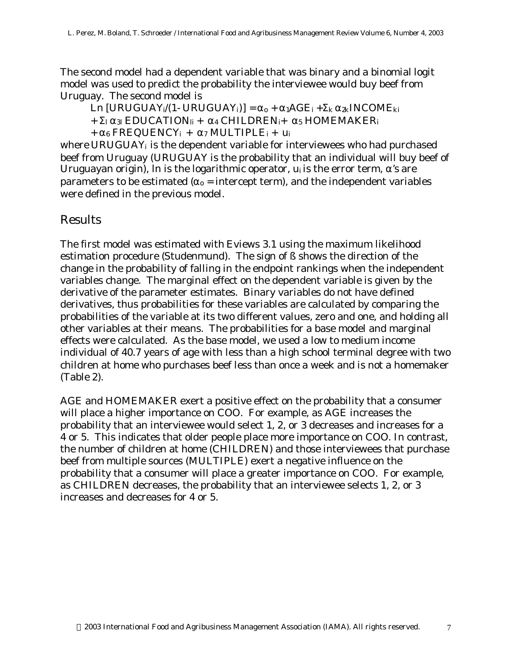The second model had a dependent variable that was binary and a binomial logit model was used to predict the probability the interviewee would buy beef from Uruguay. The second model is

 $\text{Ln} \left[ \text{URUGUAY}_i/(1-\text{URUGUAY}_i) \right] = a_0 + a_1 A G E_i + S_k a_2 k \text{INCOME}_{ki}$  $+ S_l$  *a*<sub>3</sub> *EDUCATION<sub>li</sub>* + *a*<sub>4</sub> *CHILDREN<sub>i</sub>*+ *a*<sub>5</sub> *HOMEMAKER<sub>i</sub>*  $+ a_6$  *FREQUENCY*<sub>*i*</sub>  $+ a_7$  *MULTIPLE*<sub>*i*</sub>  $+ u_i$ 

where *URUGUAYi* is the dependent variable for interviewees who had purchased beef from Uruguay (*URUGUAY* is the probability that an individual will buy beef of Uruguayan origin), ln is the logarithmic operator, u*<sup>i</sup>* is the error term, *a's* are parameters to be estimated ( $a<sub>o</sub>$  = intercept term), and the independent variables were defined in the previous model.

# Results

The first model was estimated with Eviews 3.1 using the maximum likelihood estimation procedure (Studenmund). The sign of *ß* shows the direction of the change in the probability of falling in the endpoint rankings when the independent variables change. The marginal effect on the dependent variable is given by the derivative of the parameter estimates. Binary variables do not have defined derivatives, thus probabilities for these variables are calculated by comparing the probabilities of the variable at its two different values, zero and one, and holding all other variables at their means. The probabilities for a base model and marginal effects were calculated. As the base model, we used a low to medium income individual of 40.7 years of age with less than a high school terminal degree with two children at home who purchases beef less than once a week and is not a homemaker (Table 2).

AGE and HOMEMAKER exert a positive effect on the probability that a consumer will place a higher importance on COO. For example, as AGE increases the probability that an interviewee would select 1, 2, or 3 decreases and increases for a 4 or 5. This indicates that older people place more importance on COO. In contrast, the number of children at home (CHILDREN) and those interviewees that purchase beef from multiple sources (MULTIPLE) exert a negative influence on the probability that a consumer will place a greater importance on COO. For example, as CHILDREN decreases, the probability that an interviewee selects 1, 2, or 3 increases and decreases for 4 or 5.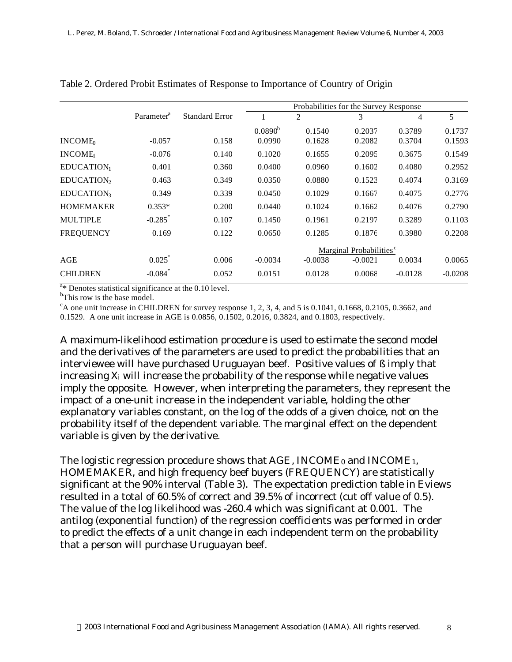|                        |                        |                       | Probabilities for the Survey Response |           |           |           |           |
|------------------------|------------------------|-----------------------|---------------------------------------|-----------|-----------|-----------|-----------|
|                        | Parameter <sup>a</sup> | <b>Standard Error</b> |                                       | 2         | 3         | 4         | 5         |
|                        |                        |                       | $0.0890^{b}$                          | 0.1540    | 0.2037    | 0.3789    | 0.1737    |
| INCOME <sub>0</sub>    | $-0.057$               | 0.158                 | 0.0990                                | 0.1628    | 0.2082    | 0.3704    | 0.1593    |
| <b>INCOME</b>          | $-0.076$               | 0.140                 | 0.1020                                | 0.1655    | 0.2095    | 0.3675    | 0.1549    |
| EDUCATION <sub>1</sub> | 0.401                  | 0.360                 | 0.0400                                | 0.0960    | 0.1602    | 0.4080    | 0.2952    |
| EDUCATION <sub>2</sub> | 0.463                  | 0.349                 | 0.0350                                | 0.0880    | 0.1523    | 0.4074    | 0.3169    |
| EDUCATION3             | 0.349                  | 0.339                 | 0.0450                                | 0.1029    | 0.1667    | 0.4075    | 0.2776    |
| <b>HOMEMAKER</b>       | $0.353*$               | 0.200                 | 0.0440                                | 0.1024    | 0.1662    | 0.4076    | 0.2790    |
| <b>MULTIPLE</b>        | $-0.285$ *             | 0.107                 | 0.1450                                | 0.1961    | 0.2197    | 0.3289    | 0.1103    |
| <b>FREQUENCY</b>       | 0.169                  | 0.122                 | 0.0650                                | 0.1285    | 0.1876    | 0.3980    | 0.2208    |
|                        |                        |                       | Marginal Probabilities <sup>c</sup>   |           |           |           |           |
| AGE                    | 0.025                  | 0.006                 | $-0.0034$                             | $-0.0038$ | $-0.0021$ | 0.0034    | 0.0065    |
| <b>CHILDREN</b>        | $-0.084$ *             | 0.052                 | 0.0151                                | 0.0128    | 0.0068    | $-0.0128$ | $-0.0208$ |

Table 2. Ordered Probit Estimates of Response to Importance of Country of Origin

 $a_{*}$  Denotes statistical significance at the 0.10 level.

<sup>b</sup>This row is the base model.

 $c<sup>c</sup>$ A one unit increase in CHILDREN for survey response 1, 2, 3, 4, and 5 is 0.1041, 0.1668, 0.2105, 0.3662, and 0.1529. A one unit increase in AGE is 0.0856, 0.1502, 0.2016, 0.3824, and 0.1803, respectively.

A maximum-likelihood estimation procedure is used to estimate the second model and the derivatives of the parameters are used to predict the probabilities that an interviewee will have purchased Uruguayan beef. Positive values of *ß* imply that increasing  $X_i$  will increase the probability of the response while negative values imply the opposite. However, when interpreting the parameters, they represent the impact of a one-unit increase in the independent variable, holding the other explanatory variables constant, on the log of the odds of a given choice, not on the probability itself of the dependent variable. The marginal effect on the dependent variable is given by the derivative.

The logistic regression procedure shows that *AGE*, *INCOME0* and *INCOME1*, *HOMEMAKER*, and high frequency beef buyers (*FREQUENCY*) are statistically significant at the 90% interval (Table 3). The expectation prediction table in Eviews resulted in a total of 60.5% of correct and 39.5% of incorrect (cut off value of 0.5). The value of the log likelihood was -260.4 which was significant at 0.001. The antilog (exponential function) of the regression coefficients was performed in order to predict the effects of a unit change in each independent term on the probability that a person will purchase Uruguayan beef.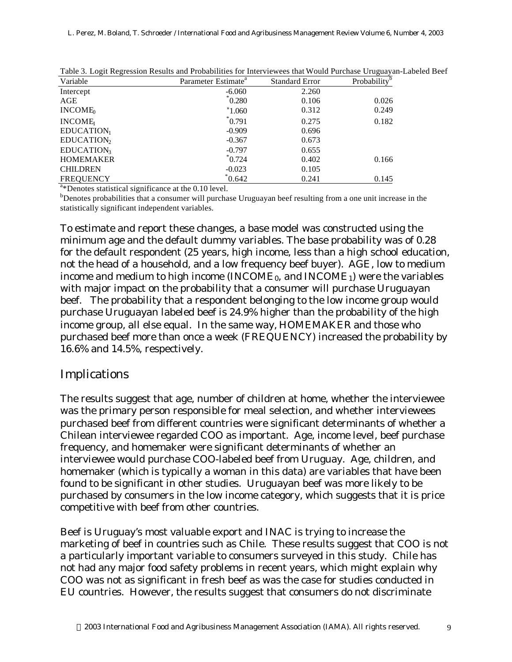| Variable               | Parameter Estimate <sup>a</sup> | <b>Standard Error</b> | Probability |
|------------------------|---------------------------------|-----------------------|-------------|
| Intercept              | $-6.060$                        | 2.260                 |             |
| AGE                    | $\degree 0.280$                 | 0.106                 | 0.026       |
| INCOME <sub>0</sub>    | $^*1.060$                       | 0.312                 | 0.249       |
| <b>INCOME</b>          | $^*$ 0.791                      | 0.275                 | 0.182       |
| EDUCATION <sub>1</sub> | $-0.909$                        | 0.696                 |             |
| EDUCATION <sub>2</sub> | $-0.367$                        | 0.673                 |             |
| EDUCATION <sub>3</sub> | $-0.797$                        | 0.655                 |             |
| <b>HOMEMAKER</b>       | $^*$ 0.724                      | 0.402                 | 0.166       |
| <b>CHILDREN</b>        | $-0.023$                        | 0.105                 |             |
| <b>FREQUENCY</b>       | $^*0.642$                       | 0.241                 | 0.145       |

Table 3. Logit Regression Results and Probabilities for Interviewees that Would Purchase Uruguayan-Labeled Beef

<sup>a</sup>\*Denotes statistical significance at the 0.10 level.

<sup>b</sup>Denotes probabilities that a consumer will purchase Uruguayan beef resulting from a one unit increase in the statistically significant independent variables.

To estimate and report these changes, a base model was constructed using the minimum age and the default dummy variables. The base probability was of 0.28 for the default respondent (25 years, high income, less than a high school education, not the head of a household, and a low frequency beef buyer). *AGE*, low to medium income and medium to high income (*INCOME0*, and *INCOME1*) were the variables with major impact on the probability that a consumer will purchase Uruguayan beef. The probability that a respondent belonging to the low income group would purchase Uruguayan labeled beef is 24.9% higher than the probability of the high income group, all else equal. In the same way, *HOMEMAKER* and those who purchased beef more than once a week (*FREQUENCY*) increased the probability by 16.6% and 14.5%, respectively.

#### Implications

The results suggest that age, number of children at home, whether the interviewee was the primary person responsible for meal selection, and whether interviewees purchased beef from different countries were significant determinants of whether a Chilean interviewee regarded COO as important. Age, income level, beef purchase frequency, and homemaker were significant determinants of whether an interviewee would purchase COO-labeled beef from Uruguay. Age, children, and homemaker (which is typically a woman in this data) are variables that have been found to be significant in other studies. Uruguayan beef was more likely to be purchased by consumers in the low income category, which suggests that it is price competitive with beef from other countries.

Beef is Uruguay's most valuable export and INAC is trying to increase the marketing of beef in countries such as Chile. These results suggest that COO is not a particularly important variable to consumers surveyed in this study. Chile has not had any major food safety problems in recent years, which might explain why COO was not as significant in fresh beef as was the case for studies conducted in EU countries. However, the results suggest that consumers do not discriminate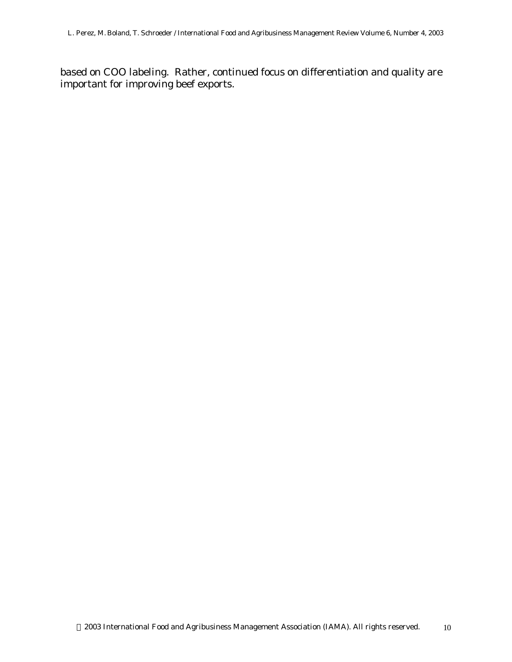based on COO labeling. Rather, continued focus on differentiation and quality are important for improving beef exports.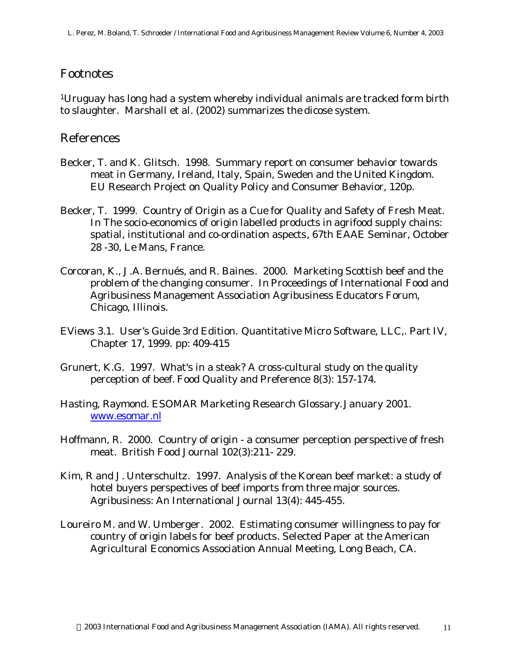#### Footnotes

<sup>1</sup>Uruguay has long had a system whereby individual animals are tracked form birth to slaughter. Marshall et al. (2002) summarizes the dicose system.

#### References

- Becker, T. and K. Glitsch. 1998. Summary report on consumer behavior towards meat in Germany, Ireland, Italy, Spain, Sweden and the United Kingdom. EU Research Project on Quality Policy and Consumer Behavior, 120p.
- Becker, T. 1999. Country of Origin as a Cue for Quality and Safety of Fresh Meat. In *The socio-economics of origin labelled products in agrifood supply chains: spatial, institutional and co-ordination aspects*, 67th EAAE Seminar, October 28 -30, Le Mans, France.
- Corcoran, K., J.A. Bernués, and R. Baines. 2000. Marketing Scottish beef and the problem of the changing consumer. In *Proceedings of International Food and Agribusiness Management Association Agribusiness Educators Forum*, Chicago, Illinois.
- EViews 3.1. *User's Guide 3rd Edition.* Quantitative Micro Software, LLC,. Part IV, Chapter 17, 1999. pp: 409-415
- Grunert, K.G. 1997. What's in a steak? A cross-cultural study on the quality perception of beef. *Food Quality and Preference* 8(3): 157-174.
- Hasting, Raymond. *ESOMAR Marketing Research Glossary.*January 2001. www.esomar.nl
- Hoffmann, R. 2000. Country of origin a consumer perception perspective of fresh meat. *British Food Journal* 102(3):211- 229.
- Kim, R and J. Unterschultz. 1997. Analysis of the Korean beef market: a study of hotel buyers perspectives of beef imports from three major sources. *Agribusiness: An International Journal* 13(4): 445-455.
- Loureiro M. and W. Umberger. 2002. Estimating consumer willingness to pay for country of origin labels for beef products*.* Selected Paper at the American Agricultural Economics Association Annual Meeting, Long Beach, CA.